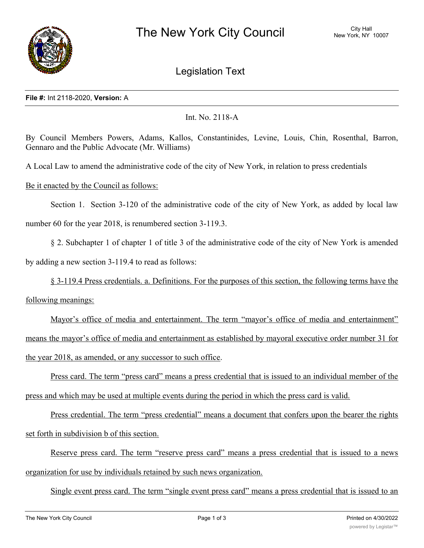

# Legislation Text

## **File #:** Int 2118-2020, **Version:** A

## Int. No. 2118-A

By Council Members Powers, Adams, Kallos, Constantinides, Levine, Louis, Chin, Rosenthal, Barron, Gennaro and the Public Advocate (Mr. Williams)

A Local Law to amend the administrative code of the city of New York, in relation to press credentials

## Be it enacted by the Council as follows:

Section 1. Section 3-120 of the administrative code of the city of New York, as added by local law number 60 for the year 2018, is renumbered section 3-119.3.

§ 2. Subchapter 1 of chapter 1 of title 3 of the administrative code of the city of New York is amended by adding a new section 3-119.4 to read as follows:

§ 3-119.4 Press credentials. a. Definitions. For the purposes of this section, the following terms have the following meanings:

Mayor's office of media and entertainment. The term "mayor's office of media and entertainment" means the mayor's office of media and entertainment as established by mayoral executive order number 31 for the year 2018, as amended, or any successor to such office.

Press card. The term "press card" means a press credential that is issued to an individual member of the press and which may be used at multiple events during the period in which the press card is valid.

Press credential. The term "press credential" means a document that confers upon the bearer the rights set forth in subdivision b of this section.

Reserve press card. The term "reserve press card" means a press credential that is issued to a news organization for use by individuals retained by such news organization.

Single event press card. The term "single event press card" means a press credential that is issued to an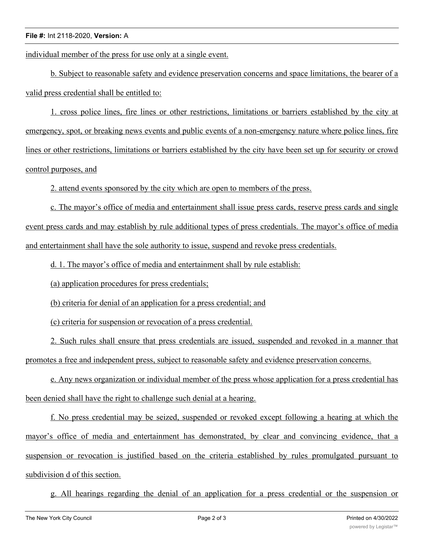## **File #:** Int 2118-2020, **Version:** A

individual member of the press for use only at a single event.

b. Subject to reasonable safety and evidence preservation concerns and space limitations, the bearer of a valid press credential shall be entitled to:

1. cross police lines, fire lines or other restrictions, limitations or barriers established by the city at emergency, spot, or breaking news events and public events of a non-emergency nature where police lines, fire lines or other restrictions, limitations or barriers established by the city have been set up for security or crowd control purposes, and

2. attend events sponsored by the city which are open to members of the press.

c. The mayor's office of media and entertainment shall issue press cards, reserve press cards and single event press cards and may establish by rule additional types of press credentials. The mayor's office of media and entertainment shall have the sole authority to issue, suspend and revoke press credentials.

d. 1. The mayor's office of media and entertainment shall by rule establish:

(a) application procedures for press credentials;

(b) criteria for denial of an application for a press credential; and

(c) criteria for suspension or revocation of a press credential.

2. Such rules shall ensure that press credentials are issued, suspended and revoked in a manner that promotes a free and independent press, subject to reasonable safety and evidence preservation concerns.

e. Any news organization or individual member of the press whose application for a press credential has been denied shall have the right to challenge such denial at a hearing.

f. No press credential may be seized, suspended or revoked except following a hearing at which the mayor's office of media and entertainment has demonstrated, by clear and convincing evidence, that a suspension or revocation is justified based on the criteria established by rules promulgated pursuant to subdivision d of this section.

g. All hearings regarding the denial of an application for a press credential or the suspension or